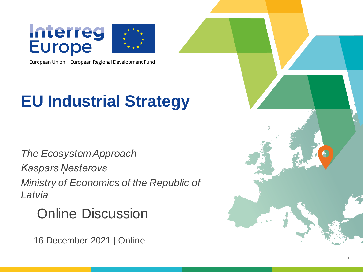



European Union | European Regional Development Fund

#### **EU Industrial Strategy**

*The EcosystemApproach Kaspars Ņesterovs Ministry of Economics of the Republic of Latvia*

Online Discussion

16 December 2021 | Online

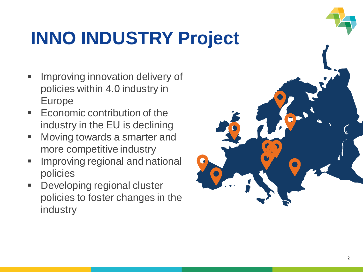# **INNO INDUSTRY Project**

- Improving innovation delivery of policies within 4.0 industry in Europe
- Economic contribution of the industry in the EU is declining
- Moving towards a smarter and more competitive industry
- **E** Improving regional and national policies
- Developing regional cluster policies to foster changes in the industry

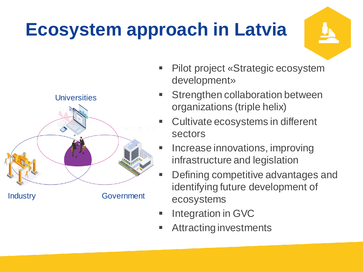## **Ecosystem approach in Latvia**



- Pilot project «Strategic ecosystem development»
- Strengthen collaboration between organizations (triple helix)
- Cultivate ecosystems in different sectors
- Increase innovations, improving infrastructure and legislation
- Defining competitive advantages and identifying future development of ecosystems
- Integration in GVC
- Attracting investments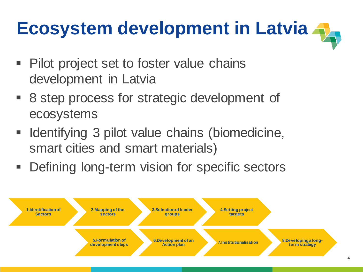# **Ecosystem development in Latvia**

- Pilot project set to foster value chains development in Latvia
- 8 step process for strategic development of ecosystems
- Identifying 3 pilot value chains (biomedicine, smart cities and smart materials)
- **Defining long-term vision for specific sectors**

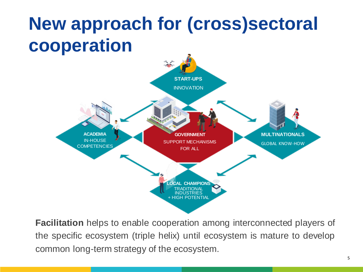## **New approach for (cross)sectoral cooperation**



**Facilitation** helps to enable cooperation among interconnected players of the specific ecosystem (triple helix) until ecosystem is mature to develop common long-term strategy of the ecosystem.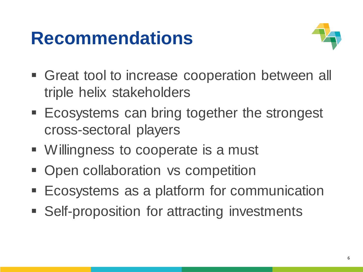### **Recommendations**



- **Great tool to increase cooperation between all** triple helix stakeholders
- Ecosystems can bring together the strongest cross-sectoral players
- Willingness to cooperate is a must
- Open collaboration vs competition
- **Ecosystems as a platform for communication**
- Self-proposition for attracting investments